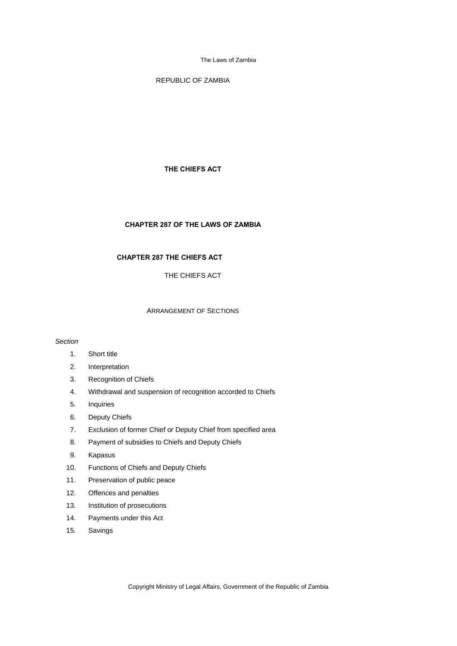REPUBLIC OF ZAMBIA

## **THE CHIEFS ACT**

## **CHAPTER 287 OF THE LAWS OF ZAMBIA**

# **CHAPTER 287 THE CHIEFS ACT**

THE CHIEFS ACT

# ARRANGEMENT OF SECTIONS

### *Section*

- 1. Short title
- 2. Interpretation
- 3. Recognition of Chiefs
- 4. Withdrawal and suspension of recognition accorded to Chiefs
- 5. Inquiries
- 6. Deputy Chiefs
- 7. Exclusion of former Chief or Deputy Chief from specified area
- 8. Payment of subsidies to Chiefs and Deputy Chiefs
- 9. Kapasus
- 10. Functions of Chiefs and Deputy Chiefs
- 11. Preservation of public peace
- 12. Offences and penalties
- 13. Institution of prosecutions
- 14. Payments under this Act
- 15. Savings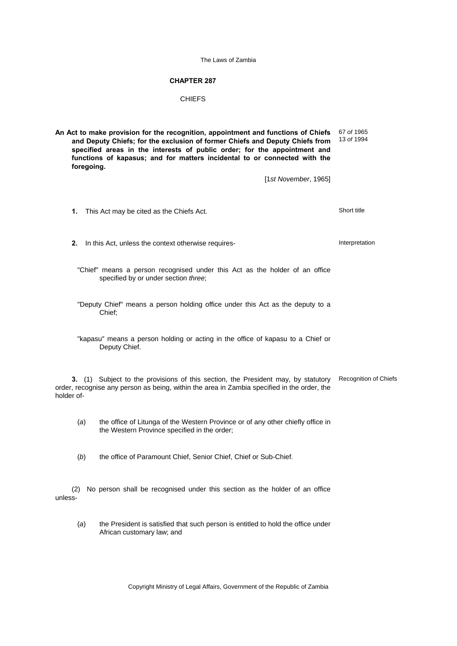## **CHAPTER 287**

### CHIEFS

**An Act to make provision for the recognition, appointment and functions of Chiefs and Deputy Chiefs; for the exclusion of former Chiefs and Deputy Chiefs from specified areas in the interests of public order; for the appointment and functions of kapasus; and for matters incidental to or connected with the foregoing.** [1*st November*, 1965] 67 *of* 1965 13 *of* 1994 **1.** This Act may be cited as the Chiefs Act. Short title **2.** In this Act, unless the context otherwise requires-"Chief" means a person recognised under this Act as the holder of an office specified by or under section *three*; "Deputy Chief" means a person holding office under this Act as the deputy to a Chief; "kapasu" means a person holding or acting in the office of kapasu to a Chief or Deputy Chief. **3.** (1) Subject to the provisions of this section, the President may, by statutory order, recognise any person as being, within the area in Zambia specified in the order, the holder of-Recognition of Chiefs (*a*) the office of Litunga of the Western Province or of any other chiefly office in the Western Province specified in the order; (*b*) the office of Paramount Chief, Senior Chief, Chief or Sub-Chief. (2) No person shall be recognised under this section as the holder of an office unless- (*a*) the President is satisfied that such person is entitled to hold the office under African customary law; and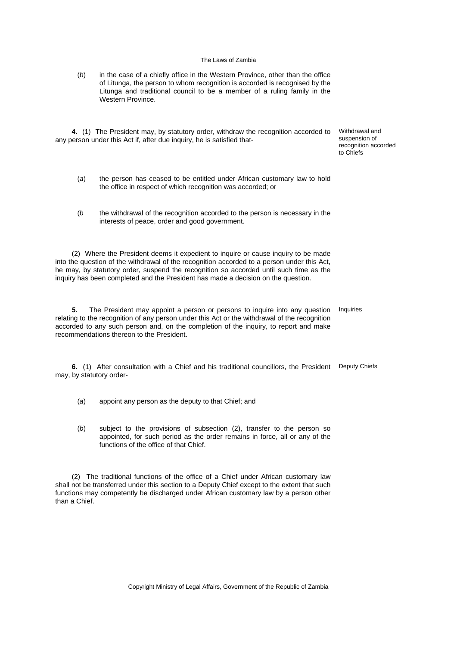| (b) | in the case of a chiefly office in the Western Province, other than the office |
|-----|--------------------------------------------------------------------------------|
|     | of Litunga, the person to whom recognition is accorded is recognised by the    |
|     | Litunga and traditional council to be a member of a ruling family in the       |
|     | Western Province.                                                              |

**4.** (1) The President may, by statutory order, withdraw the recognition accorded to Withdrawal and any person under this Act if, after due inquiry, he is satisfied that-

suspension of recognition accorded to Chiefs

- (*a*) the person has ceased to be entitled under African customary law to hold the office in respect of which recognition was accorded; or
- (*b* the withdrawal of the recognition accorded to the person is necessary in the interests of peace, order and good government.

(2) Where the President deems it expedient to inquire or cause inquiry to be made into the question of the withdrawal of the recognition accorded to a person under this Act, he may, by statutory order, suspend the recognition so accorded until such time as the inquiry has been completed and the President has made a decision on the question.

**5.** The President may appoint a person or persons to inquire into any question relating to the recognition of any person under this Act or the withdrawal of the recognition accorded to any such person and, on the completion of the inquiry, to report and make recommendations thereon to the President. Inquiries

**6.** (1) After consultation with a Chief and his traditional councillors, the President Deputy Chiefs may, by statutory order-

- (*a*) appoint any person as the deputy to that Chief; and
- (*b*) subject to the provisions of subsection (2), transfer to the person so appointed, for such period as the order remains in force, all or any of the functions of the office of that Chief.

(2) The traditional functions of the office of a Chief under African customary law shall not be transferred under this section to a Deputy Chief except to the extent that such functions may competently be discharged under African customary law by a person other than a Chief.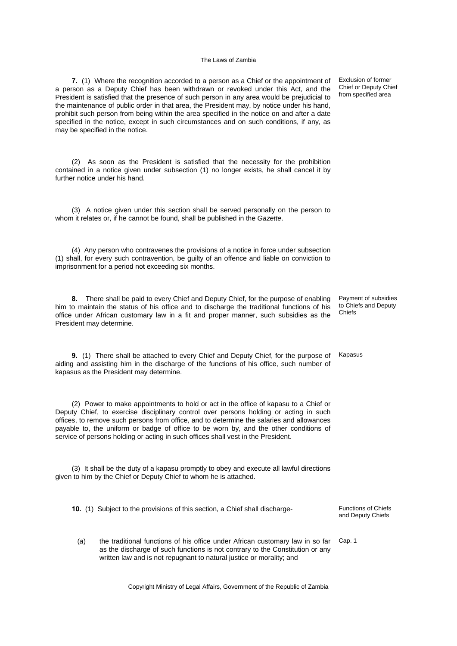**7.** (1) Where the recognition accorded to a person as a Chief or the appointment of a person as a Deputy Chief has been withdrawn or revoked under this Act, and the President is satisfied that the presence of such person in any area would be prejudicial to the maintenance of public order in that area, the President may, by notice under his hand, prohibit such person from being within the area specified in the notice on and after a date specified in the notice, except in such circumstances and on such conditions, if any, as may be specified in the notice.

(2) As soon as the President is satisfied that the necessity for the prohibition contained in a notice given under subsection (1) no longer exists, he shall cancel it by further notice under his hand.

(3) A notice given under this section shall be served personally on the person to whom it relates or, if he cannot be found, shall be published in the *Gazette*.

(4) Any person who contravenes the provisions of a notice in force under subsection (1) shall, for every such contravention, be guilty of an offence and liable on conviction to imprisonment for a period not exceeding six months.

**8.** There shall be paid to every Chief and Deputy Chief, for the purpose of enabling him to maintain the status of his office and to discharge the traditional functions of his office under African customary law in a fit and proper manner, such subsidies as the President may determine.

**9.** (1) There shall be attached to every Chief and Deputy Chief, for the purpose of aiding and assisting him in the discharge of the functions of his office, such number of kapasus as the President may determine.

(2) Power to make appointments to hold or act in the office of kapasu to a Chief or Deputy Chief, to exercise disciplinary control over persons holding or acting in such offices, to remove such persons from office, and to determine the salaries and allowances payable to, the uniform or badge of office to be worn by, and the other conditions of service of persons holding or acting in such offices shall vest in the President.

(3) It shall be the duty of a kapasu promptly to obey and execute all lawful directions given to him by the Chief or Deputy Chief to whom he is attached.

**10.** (1) Subject to the provisions of this section, a Chief shall discharge-<br>
Functions of Chiefs

(*a*) the traditional functions of his office under African customary law in so far as the discharge of such functions is not contrary to the Constitution or any written law and is not repugnant to natural justice or morality; and

Exclusion of former Chief or Deputy Chief from specified area

Payment of subsidies to Chiefs and Deputy Chiefs

Kapasus

and Deputy Chiefs

Cap. 1

Copyright Ministry of Legal Affairs, Government of the Republic of Zambia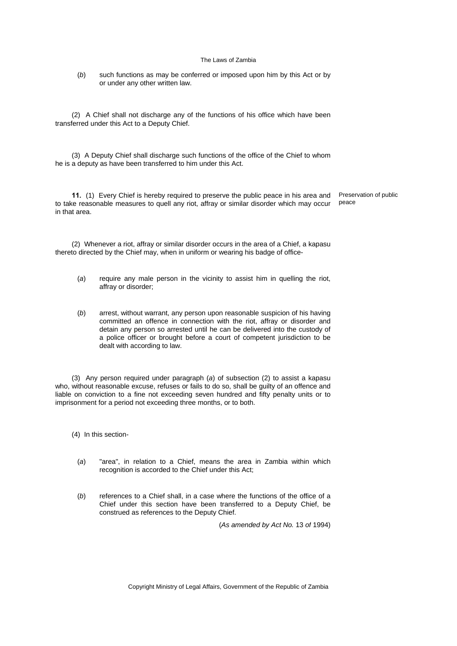(*b*) such functions as may be conferred or imposed upon him by this Act or by or under any other written law.

(2) A Chief shall not discharge any of the functions of his office which have been transferred under this Act to a Deputy Chief.

(3) A Deputy Chief shall discharge such functions of the office of the Chief to whom he is a deputy as have been transferred to him under this Act.

**11.** (1) Every Chief is hereby required to preserve the public peace in his area and to take reasonable measures to quell any riot, affray or similar disorder which may occur in that area. peace

Preservation of public

(2) Whenever a riot, affray or similar disorder occurs in the area of a Chief, a kapasu thereto directed by the Chief may, when in uniform or wearing his badge of office-

- (*a*) require any male person in the vicinity to assist him in quelling the riot, affray or disorder;
- (*b*) arrest, without warrant, any person upon reasonable suspicion of his having committed an offence in connection with the riot, affray or disorder and detain any person so arrested until he can be delivered into the custody of a police officer or brought before a court of competent jurisdiction to be dealt with according to law.

(3) Any person required under paragraph (*a*) of subsection (2) to assist a kapasu who, without reasonable excuse, refuses or fails to do so, shall be guilty of an offence and liable on conviction to a fine not exceeding seven hundred and fifty penalty units or to imprisonment for a period not exceeding three months, or to both.

(4) In this section-

- (*a*) "area", in relation to a Chief, means the area in Zambia within which recognition is accorded to the Chief under this Act;
- (*b*) references to a Chief shall, in a case where the functions of the office of a Chief under this section have been transferred to a Deputy Chief, be construed as references to the Deputy Chief.

(*As amended by Act No.* 13 *of* 1994)

Copyright Ministry of Legal Affairs, Government of the Republic of Zambia